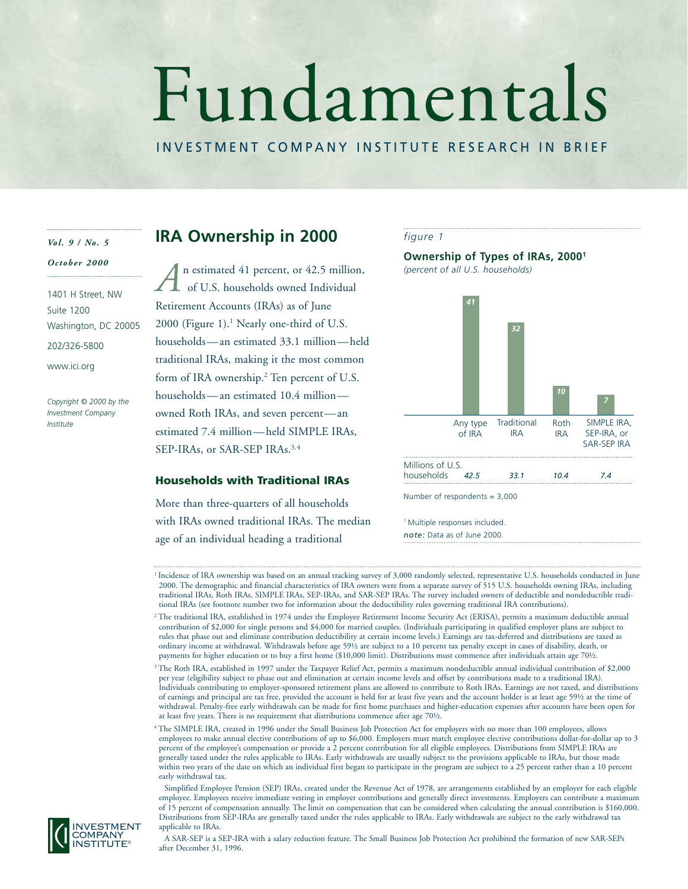# Fundamentals

# INVESTMENT COMPANY INSTITUTE RESEARCH IN BRIEF

### *Vol. 9 / No. 5*

# *October 2000*

1401 H Street, NW Suite 1200 Washington, DC 20005 202/326-5800 www.ici.org

*Copyright © 2000 by the Investment Company Institute*

# **IRA Ownership in 2000**

n estimated 41 percent, or 42.5 million, of U.S. households owned Individual Retirement Accounts (IRAs) as of June  $2000$  (Figure 1).<sup>1</sup> Nearly one-third of U.S. households—an estimated 33.1 million—held traditional IRAs, making it the most common form of IRA ownership.<sup>2</sup> Ten percent of U.S. households—an estimated 10.4 million owned Roth IRAs, and seven percent—an estimated 7.4 million—held SIMPLE IRAs, SEP-IRAs, or SAR-SEP IRAs.3,4 *A*

# **Households with Traditional IRAs**

More than three-quarters of all households with IRAs owned traditional IRAs. The median age of an individual heading a traditional



### **Ownership of Types of IRAs, 20001**

*(percent of all U.S. households)*



Number of respondents = 3,000

<sup>1</sup> Multiple responses included. *note:* Data as of June 2000.

Simplified Employee Pension (SEP) IRAs, created under the Revenue Act of 1978, are arrangements established by an employer for each eligible employee. Employees receive immediate vesting in employer contributions and generally direct investments. Employers can contribute a maximum of 15 percent of compensation annually. The limit on compensation that can be considered when calculating the annual contribution is \$160,000. Distributions from SEP-IRAs are generally taxed under the rules applicable to IRAs. Early withdrawals are subject to the early withdrawal tax applicable to IRAs.



A SAR-SEP is a SEP-IRA with a salary reduction feature. The Small Business Job Protection Act prohibited the formation of new SAR-SEPs after December 31, 1996.

<sup>&</sup>lt;sup>1</sup> Incidence of IRA ownership was based on an annual tracking survey of 3,000 randomly selected, representative U.S. households conducted in June 2000. The demographic and financial characteristics of IRA owners were from a separate survey of 515 U.S. households owning IRAs, including traditional IRAs, Roth IRAs, SIMPLE IRAs, SEP-IRAs, and SAR-SEP IRAs. The survey included owners of deductible and nondeductible traditional IRAs (see footnote number two for information about the deductibility rules governing traditional IRA contributions).

<sup>2</sup> The traditional IRA, established in 1974 under the Employee Retirement Income Security Act (ERISA), permits a maximum deductible annual contribution of \$2,000 for single persons and \$4,000 for married couples. (Individuals participating in qualified employer plans are subject to rules that phase out and eliminate contribution deductibility at certain income levels.) Earnings are tax-deferred and distributions are taxed as ordinary income at withdrawal. Withdrawals before age 59½ are subject to a 10 percent tax penalty except in cases of disability, death, or payments for higher education or to buy a first home (\$10,000 limit). Distributions must commence after individuals attain age 70½.

<sup>3</sup> The Roth IRA, established in 1997 under the Taxpayer Relief Act, permits a maximum nondeductible annual individual contribution of \$2,000 per year (eligibility subject to phase out and elimination at certain income levels and offset by contributions made to a traditional IRA). Individuals contributing to employer-sponsored retirement plans are allowed to contribute to Roth IRAs. Earnings are not taxed, and distributions of earnings and principal are tax free, provided the account is held for at least five years and the account holder is at least age 59½ at the time of withdrawal. Penalty-free early withdrawals can be made for first home purchases and higher-education expenses after accounts have been open for at least five years. There is no requirement that distributions commence after age 70½.

<sup>4</sup> The SIMPLE IRA, created in 1996 under the Small Business Job Protection Act for employers with no more than 100 employees, allows employees to make annual elective contributions of up to \$6,000. Employers must match employee elective contributions dollar-for-dollar up to 3 percent of the employee's compensation or provide a 2 percent contribution for all eligible employees. Distributions from SIMPLE IRAs are generally taxed under the rules applicable to IRAs. Early withdrawals are usually subject to the provisions applicable to IRAs, but those made within two years of the date on which an individual first began to participate in the program are subject to a 25 percent rather than a 10 percent early withdrawal tax.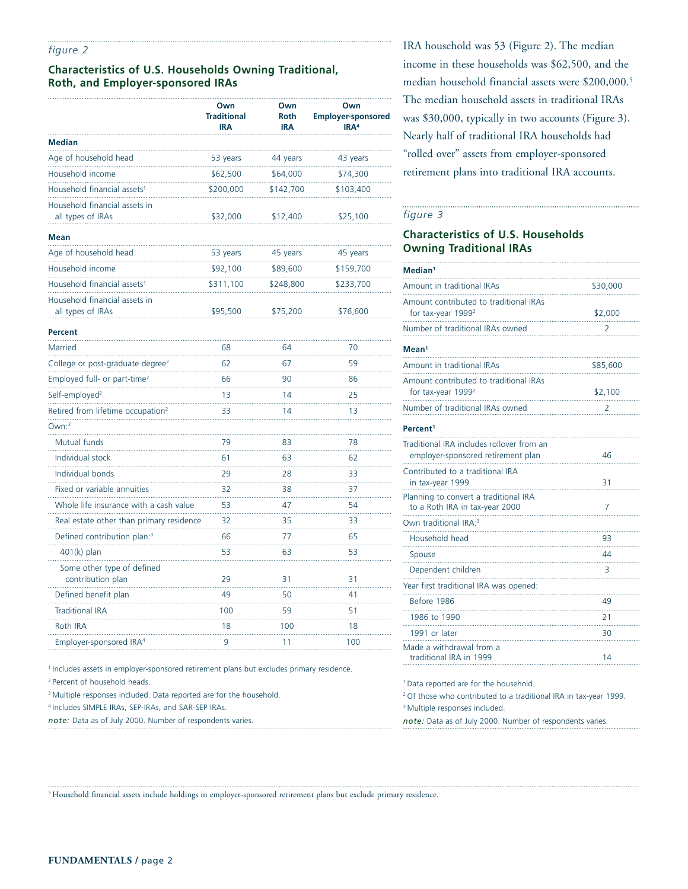### *figure 2*

# **Characteristics of U.S. Households Owning Traditional, Roth, and Employer-sponsored IRAs**

|                                                    | Own<br><b>Traditional</b><br>IRA | Own<br><b>Roth</b><br><b>IRA</b> | Own<br><b>Employer-sponsored</b><br>IRA <sup>4</sup> |
|----------------------------------------------------|----------------------------------|----------------------------------|------------------------------------------------------|
| <b>Median</b>                                      |                                  |                                  |                                                      |
| Age of household head                              | 53 years                         | 44 years                         | 43 years                                             |
| Household income                                   | \$62,500                         | \$64,000                         | \$74,300                                             |
| Household financial assets <sup>1</sup>            | \$200,000                        | \$142,700                        | \$103,400                                            |
| Household financial assets in<br>all types of IRAs | \$32,000                         | \$12,400                         | \$25,100                                             |
| <b>Mean</b>                                        |                                  |                                  |                                                      |
| Age of household head                              | 53 years                         | 45 years                         | 45 years                                             |
| Household income                                   | \$92,100                         | \$89,600                         | \$159,700                                            |
| Household financial assets <sup>1</sup>            | \$311,100                        | \$248,800                        | \$233,700                                            |
| Household financial assets in<br>all types of IRAs | \$95,500                         | \$75,200                         | \$76,600                                             |
| Percent                                            |                                  |                                  |                                                      |
| Married                                            | 68                               | 64                               | 70                                                   |
| College or post-graduate degree <sup>2</sup>       | 62                               | 67                               | 59                                                   |
| Employed full- or part-time <sup>2</sup>           | 66                               | 90                               | 86                                                   |
| Self-employed <sup>2</sup>                         | 13                               | 14                               | 25                                                   |
| Retired from lifetime occupation <sup>2</sup>      | 33                               | 14                               | 13                                                   |
| Own:3                                              |                                  |                                  |                                                      |
| Mutual funds                                       | 79                               | 83                               | 78                                                   |
| Individual stock                                   | 61                               | 63                               | 62                                                   |
| Individual bonds                                   | 29                               | 28                               | 33                                                   |
| Fixed or variable annuities                        | 32                               | 38                               | 37                                                   |
| Whole life insurance with a cash value             | 53                               | 47                               | 54                                                   |
| Real estate other than primary residence           | 32                               | 35                               | 33                                                   |
| Defined contribution plan: <sup>3</sup>            | 66                               | 77                               | 65                                                   |
| $401(k)$ plan                                      | 53                               | 63                               | 53                                                   |
| Some other type of defined<br>contribution plan    | 29                               | 31                               | 31                                                   |
| Defined benefit plan                               | 49                               | 50                               | 41                                                   |
| Traditional IRA                                    | 100                              | 59<br>.                          | 51<br>.                                              |
| Roth IRA                                           | 18                               | 100                              | 18                                                   |
| Employer-sponsored IRA <sup>4</sup>                | 9                                | 11                               | 100                                                  |

<sup>1</sup> Includes assets in employer-sponsored retirement plans but excludes primary residence.

2 Percent of household heads.

<sup>3</sup> Multiple responses included. Data reported are for the household.

4 Includes SIMPLE IRAs, SEP-IRAs, and SAR-SEP IRAs.

*note:* Data as of July 2000. Number of respondents varies.

IRA household was 53 (Figure 2). The median income in these households was \$62,500, and the median household financial assets were \$200,000.5 The median household assets in traditional IRAs was \$30,000, typically in two accounts (Figure 3). Nearly half of traditional IRA households had "rolled over" assets from employer-sponsored retirement plans into traditional IRA accounts.

### *figure 3*

# **Characteristics of U.S. Households Owning Traditional IRAs**

| Median <sup>1</sup>                                                             |          |
|---------------------------------------------------------------------------------|----------|
| Amount in traditional IRAs                                                      | \$30,000 |
| Amount contributed to traditional IRAs<br>for tax-year $19992$                  | \$2,000  |
| Number of traditional IRAs owned                                                | 2        |
| Mean <sup>1</sup>                                                               |          |
| Amount in traditional IRAs                                                      | \$85,600 |
| Amount contributed to traditional IRAs<br>for tax-year 1999 <sup>2</sup>        | \$2,100  |
| Number of traditional IRAs owned                                                | 2        |
| Percent <sup>1</sup>                                                            |          |
| Traditional IRA includes rollover from an<br>employer-sponsored retirement plan | 46       |
| Contributed to a traditional IRA<br>in tax-year 1999                            | 31       |
| Planning to convert a traditional IRA<br>to a Roth IRA in tax-year 2000         | 7        |
| Own traditional IRA: <sup>3</sup>                                               |          |
| Household head                                                                  | 93       |
| Spouse                                                                          | 44       |
| Dependent children                                                              | 3        |
| Year first traditional IRA was opened:                                          |          |
| Before 1986                                                                     | 49       |
| 1986 to 1990                                                                    | 21       |
| 1991 or later                                                                   | 30       |
| Made a withdrawal from a<br>traditional IRA in 1999                             | 14       |
|                                                                                 |          |

1 Data reported are for the household.

2 Of those who contributed to a traditional IRA in tax-year 1999.

<sup>3</sup> Multiple responses included.

*note:* Data as of July 2000. Number of respondents varies.

5 Household financial assets include holdings in employer-sponsored retirement plans but exclude primary residence.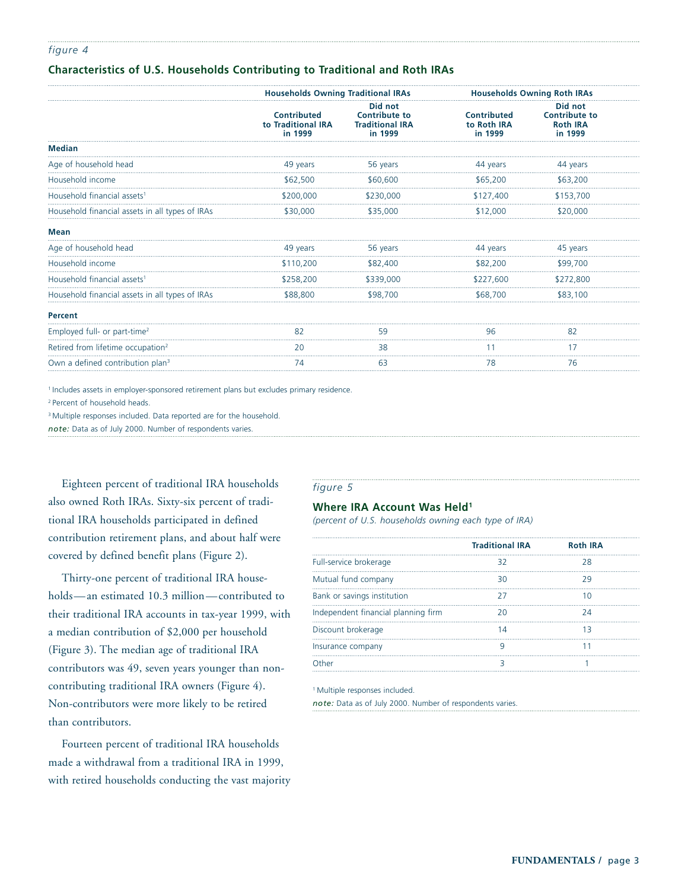### *figure 4*

# **Characteristics of U.S. Households Contributing to Traditional and Roth IRAs**

|                                                 |                                              | <b>Households Owning Traditional IRAs</b>                            |                                       | <b>Households Owning Roth IRAs</b>                            |
|-------------------------------------------------|----------------------------------------------|----------------------------------------------------------------------|---------------------------------------|---------------------------------------------------------------|
|                                                 | Contributed<br>to Traditional IRA<br>in 1999 | Did not<br><b>Contribute to</b><br><b>Traditional IRA</b><br>in 1999 | Contributed<br>to Roth IRA<br>in 1999 | Did not<br><b>Contribute to</b><br><b>Roth IRA</b><br>in 1999 |
| <b>Median</b>                                   |                                              |                                                                      |                                       |                                                               |
| Age of household head                           | 49 years                                     | 56 years                                                             | 44 years                              | 44 years                                                      |
| Household income                                | \$62,500                                     | \$60,600                                                             | \$65,200                              | \$63,200                                                      |
| Household financial assets <sup>1</sup>         | \$200,000                                    | \$230,000                                                            | \$127,400                             | \$153,700                                                     |
| Household financial assets in all types of IRAs | \$30,000                                     | \$35,000                                                             | \$12,000                              | \$20,000                                                      |
| <b>Mean</b>                                     |                                              |                                                                      |                                       |                                                               |
| Age of household head                           | 49 years                                     | 56 years                                                             | 44 years                              | 45 years                                                      |
| Household income                                | \$110,200                                    | \$82,400                                                             | \$82,200                              | \$99,700                                                      |
| Household financial assets <sup>1</sup>         | \$258,200                                    | \$339,000                                                            | \$227,600                             | \$272,800                                                     |
| Household financial assets in all types of IRAs | \$88,800                                     | \$98,700                                                             | \$68,700                              | \$83,100                                                      |
| <b>Percent</b>                                  |                                              |                                                                      |                                       |                                                               |
| Employed full- or part-time <sup>2</sup>        | 82                                           | 59                                                                   | 96                                    | 82                                                            |
| Retired from lifetime occupation <sup>2</sup>   | 20                                           | 38                                                                   | 11                                    | 17                                                            |
| Own a defined contribution plan <sup>3</sup>    | 74                                           | 63                                                                   | 78                                    | 76                                                            |
|                                                 |                                              |                                                                      |                                       |                                                               |

<sup>1</sup> Includes assets in employer-sponsored retirement plans but excludes primary residence.

2 Percent of household heads.

<sup>3</sup> Multiple responses included. Data reported are for the household.

*note:* Data as of July 2000. Number of respondents varies.

Eighteen percent of traditional IRA households also owned Roth IRAs. Sixty-six percent of traditional IRA households participated in defined contribution retirement plans, and about half were covered by defined benefit plans (Figure 2).

Thirty-one percent of traditional IRA households—an estimated 10.3 million—contributed to their traditional IRA accounts in tax-year 1999, with a median contribution of \$2,000 per household (Figure 3). The median age of traditional IRA contributors was 49, seven years younger than noncontributing traditional IRA owners (Figure 4). Non-contributors were more likely to be retired than contributors.

Fourteen percent of traditional IRA households made a withdrawal from a traditional IRA in 1999, with retired households conducting the vast majority

# *figure 5*

# **Where IRA Account Was Held<sup>1</sup>**

*(percent of U.S. households owning each type of IRA)*

|                                     | <b>Traditional IRA</b> | <b>Roth IRA</b> |
|-------------------------------------|------------------------|-----------------|
| Full-service brokerage              | 32                     | 28              |
| Mutual fund company                 | RΩ                     |                 |
| Bank or savings institution         |                        |                 |
| Independent financial planning firm |                        | 74              |
| Discount brokerage                  |                        |                 |
| Insurance company                   |                        |                 |
|                                     |                        |                 |

<sup>1</sup> Multiple responses included.

*note:* Data as of July 2000. Number of respondents varies.